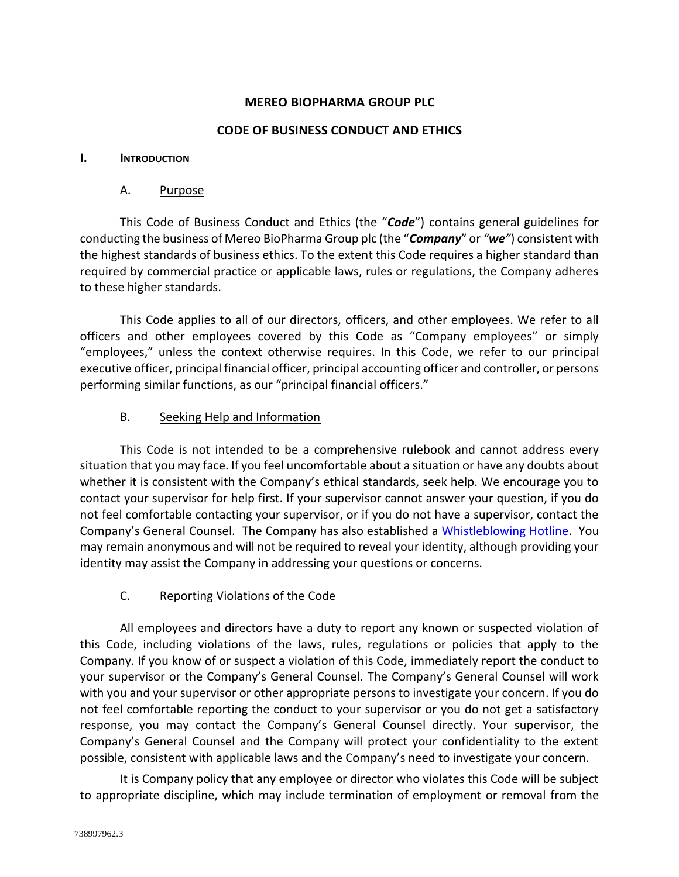### **MEREO BIOPHARMA GROUP PLC**

#### **CODE OF BUSINESS CONDUCT AND ETHICS**

#### **I. INTRODUCTION**

#### A. Purpose

This Code of Business Conduct and Ethics (the "*Code*") contains general guidelines for conducting the business of Mereo BioPharma Group plc (the "*Company*" or *"we"*) consistent with the highest standards of business ethics. To the extent this Code requires a higher standard than required by commercial practice or applicable laws, rules or regulations, the Company adheres to these higher standards.

This Code applies to all of our directors, officers, and other employees. We refer to all officers and other employees covered by this Code as "Company employees" or simply "employees," unless the context otherwise requires. In this Code, we refer to our principal executive officer, principal financial officer, principal accounting officer and controller, or persons performing similar functions, as our "principal financial officers."

### B. Seeking Help and Information

This Code is not intended to be a comprehensive rulebook and cannot address every situation that you may face. If you feel uncomfortable about a situation or have any doubts about whether it is consistent with the Company's ethical standards, seek help. We encourage you to contact your supervisor for help first. If your supervisor cannot answer your question, if you do not feel comfortable contacting your supervisor, or if you do not have a supervisor, contact the Company's General Counsel. The Company has also established a [Whistleblowing Hotline.](https://www.whistleblowerservices.com/mreo/) You may remain anonymous and will not be required to reveal your identity, although providing your identity may assist the Company in addressing your questions or concerns.

#### C. Reporting Violations of the Code

All employees and directors have a duty to report any known or suspected violation of this Code, including violations of the laws, rules, regulations or policies that apply to the Company. If you know of or suspect a violation of this Code, immediately report the conduct to your supervisor or the Company's General Counsel. The Company's General Counsel will work with you and your supervisor or other appropriate persons to investigate your concern. If you do not feel comfortable reporting the conduct to your supervisor or you do not get a satisfactory response, you may contact the Company's General Counsel directly. Your supervisor, the Company's General Counsel and the Company will protect your confidentiality to the extent possible, consistent with applicable laws and the Company's need to investigate your concern.

It is Company policy that any employee or director who violates this Code will be subject to appropriate discipline, which may include termination of employment or removal from the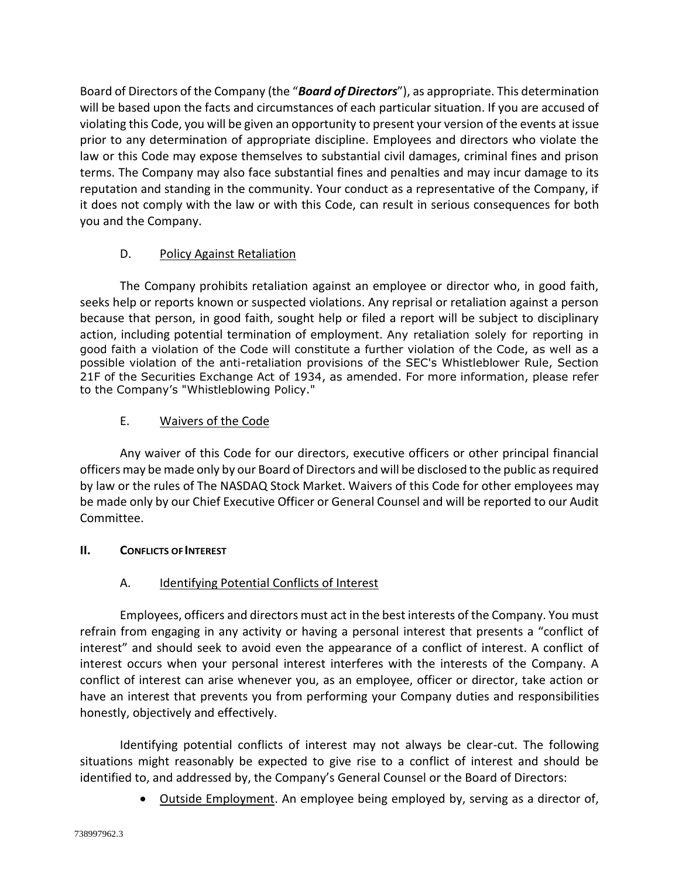Board of Directors of the Company (the "*Board of Directors*"), as appropriate. This determination will be based upon the facts and circumstances of each particular situation. If you are accused of violating this Code, you will be given an opportunity to present your version of the events at issue prior to any determination of appropriate discipline. Employees and directors who violate the law or this Code may expose themselves to substantial civil damages, criminal fines and prison terms. The Company may also face substantial fines and penalties and may incur damage to its reputation and standing in the community. Your conduct as a representative of the Company, if it does not comply with the law or with this Code, can result in serious consequences for both you and the Company.

# D. Policy Against Retaliation

The Company prohibits retaliation against an employee or director who, in good faith, seeks help or reports known or suspected violations. Any reprisal or retaliation against a person because that person, in good faith, sought help or filed a report will be subject to disciplinary action, including potential termination of employment. Any retaliation solely for reporting in good faith a violation of the Code will constitute a further violation of the Code, as well as a possible violation of the anti-retaliation provisions of the SEC's Whistleblower Rule, Section 21F of the Securities Exchange Act of 1934, as amended. For more information, please refer to the Company's "Whistleblowing Policy."

## E. Waivers of the Code

Any waiver of this Code for our directors, executive officers or other principal financial officers may be made only by our Board of Directors and will be disclosed to the public as required by law or the rules of The NASDAQ Stock Market. Waivers of this Code for other employees may be made only by our Chief Executive Officer or General Counsel and will be reported to our Audit Committee.

## **II. CONFLICTS OF INTEREST**

## A. Identifying Potential Conflicts of Interest

Employees, officers and directors must act in the best interests of the Company. You must refrain from engaging in any activity or having a personal interest that presents a "conflict of interest" and should seek to avoid even the appearance of a conflict of interest. A conflict of interest occurs when your personal interest interferes with the interests of the Company. A conflict of interest can arise whenever you, as an employee, officer or director, take action or have an interest that prevents you from performing your Company duties and responsibilities honestly, objectively and effectively.

Identifying potential conflicts of interest may not always be clear-cut. The following situations might reasonably be expected to give rise to a conflict of interest and should be identified to, and addressed by, the Company's General Counsel or the Board of Directors:

• Outside Employment. An employee being employed by, serving as a director of,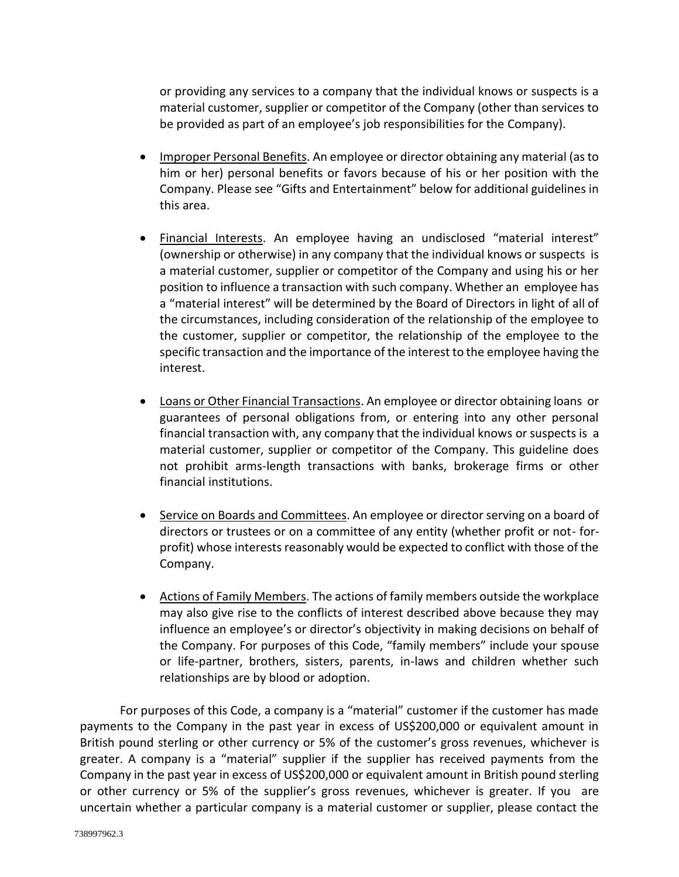or providing any services to a company that the individual knows or suspects is a material customer, supplier or competitor of the Company (other than services to be provided as part of an employee's job responsibilities for the Company).

- Improper Personal Benefits. An employee or director obtaining any material (as to him or her) personal benefits or favors because of his or her position with the Company. Please see "Gifts and Entertainment" below for additional guidelines in this area.
- Financial Interests. An employee having an undisclosed "material interest" (ownership or otherwise) in any company that the individual knows or suspects is a material customer, supplier or competitor of the Company and using his or her position to influence a transaction with such company. Whether an employee has a "material interest" will be determined by the Board of Directors in light of all of the circumstances, including consideration of the relationship of the employee to the customer, supplier or competitor, the relationship of the employee to the specific transaction and the importance of the interest to the employee having the interest.
- Loans or Other Financial Transactions. An employee or director obtaining loans or guarantees of personal obligations from, or entering into any other personal financial transaction with, any company that the individual knows or suspects is a material customer, supplier or competitor of the Company. This guideline does not prohibit arms-length transactions with banks, brokerage firms or other financial institutions.
- Service on Boards and Committees. An employee or director serving on a board of directors or trustees or on a committee of any entity (whether profit or not- forprofit) whose interests reasonably would be expected to conflict with those of the Company.
- Actions of Family Members. The actions of family members outside the workplace may also give rise to the conflicts of interest described above because they may influence an employee's or director's objectivity in making decisions on behalf of the Company. For purposes of this Code, "family members" include your spouse or life-partner, brothers, sisters, parents, in-laws and children whether such relationships are by blood or adoption.

For purposes of this Code, a company is a "material" customer if the customer has made payments to the Company in the past year in excess of US\$200,000 or equivalent amount in British pound sterling or other currency or 5% of the customer's gross revenues, whichever is greater. A company is a "material" supplier if the supplier has received payments from the Company in the past year in excess of US\$200,000 or equivalent amount in British pound sterling or other currency or 5% of the supplier's gross revenues, whichever is greater. If you are uncertain whether a particular company is a material customer or supplier, please contact the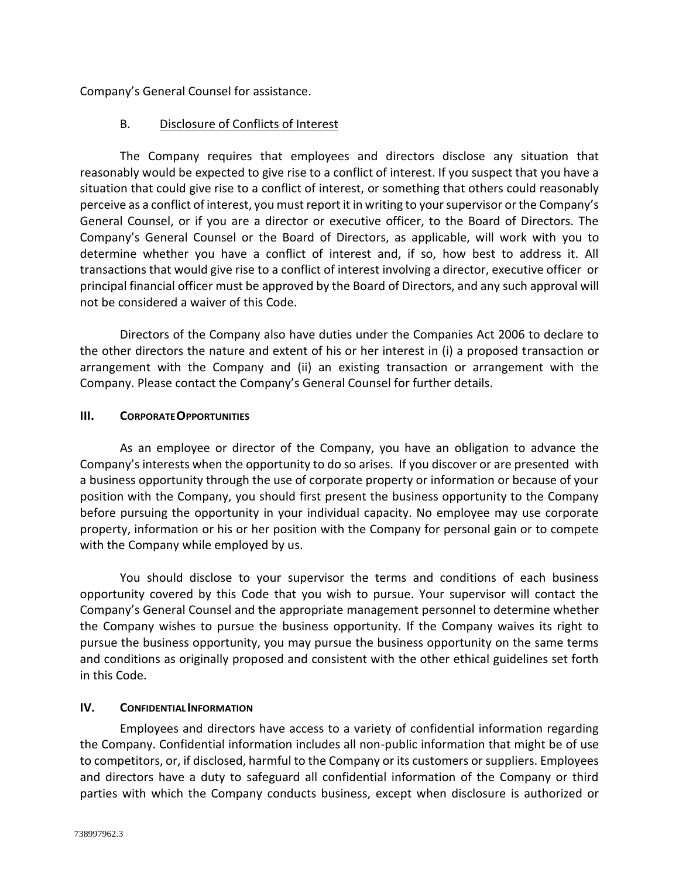Company's General Counsel for assistance.

### B. Disclosure of Conflicts of Interest

The Company requires that employees and directors disclose any situation that reasonably would be expected to give rise to a conflict of interest. If you suspect that you have a situation that could give rise to a conflict of interest, or something that others could reasonably perceive as a conflict of interest, you must report it in writing to your supervisor or the Company's General Counsel, or if you are a director or executive officer, to the Board of Directors. The Company's General Counsel or the Board of Directors, as applicable, will work with you to determine whether you have a conflict of interest and, if so, how best to address it. All transactions that would give rise to a conflict of interest involving a director, executive officer or principal financial officer must be approved by the Board of Directors, and any such approval will not be considered a waiver of this Code.

Directors of the Company also have duties under the Companies Act 2006 to declare to the other directors the nature and extent of his or her interest in (i) a proposed transaction or arrangement with the Company and (ii) an existing transaction or arrangement with the Company. Please contact the Company's General Counsel for further details.

#### **III. CORPORATEOPPORTUNITIES**

As an employee or director of the Company, you have an obligation to advance the Company's interests when the opportunity to do so arises. If you discover or are presented with a business opportunity through the use of corporate property or information or because of your position with the Company, you should first present the business opportunity to the Company before pursuing the opportunity in your individual capacity. No employee may use corporate property, information or his or her position with the Company for personal gain or to compete with the Company while employed by us.

You should disclose to your supervisor the terms and conditions of each business opportunity covered by this Code that you wish to pursue. Your supervisor will contact the Company's General Counsel and the appropriate management personnel to determine whether the Company wishes to pursue the business opportunity. If the Company waives its right to pursue the business opportunity, you may pursue the business opportunity on the same terms and conditions as originally proposed and consistent with the other ethical guidelines set forth in this Code.

#### **IV. CONFIDENTIAL INFORMATION**

Employees and directors have access to a variety of confidential information regarding the Company. Confidential information includes all non-public information that might be of use to competitors, or, if disclosed, harmful to the Company or its customers or suppliers. Employees and directors have a duty to safeguard all confidential information of the Company or third parties with which the Company conducts business, except when disclosure is authorized or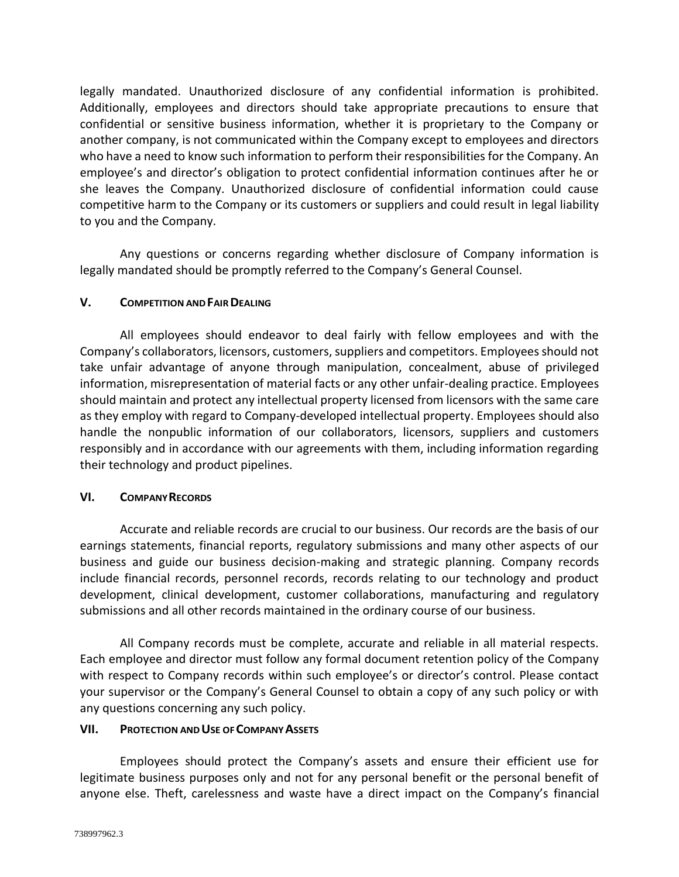legally mandated. Unauthorized disclosure of any confidential information is prohibited. Additionally, employees and directors should take appropriate precautions to ensure that confidential or sensitive business information, whether it is proprietary to the Company or another company, is not communicated within the Company except to employees and directors who have a need to know such information to perform their responsibilities for the Company. An employee's and director's obligation to protect confidential information continues after he or she leaves the Company. Unauthorized disclosure of confidential information could cause competitive harm to the Company or its customers or suppliers and could result in legal liability to you and the Company.

Any questions or concerns regarding whether disclosure of Company information is legally mandated should be promptly referred to the Company's General Counsel.

#### **V. COMPETITION ANDFAIRDEALING**

All employees should endeavor to deal fairly with fellow employees and with the Company's collaborators, licensors, customers, suppliers and competitors. Employees should not take unfair advantage of anyone through manipulation, concealment, abuse of privileged information, misrepresentation of material facts or any other unfair-dealing practice. Employees should maintain and protect any intellectual property licensed from licensors with the same care as they employ with regard to Company-developed intellectual property. Employees should also handle the nonpublic information of our collaborators, licensors, suppliers and customers responsibly and in accordance with our agreements with them, including information regarding their technology and product pipelines.

#### **VI. COMPANYRECORDS**

Accurate and reliable records are crucial to our business. Our records are the basis of our earnings statements, financial reports, regulatory submissions and many other aspects of our business and guide our business decision-making and strategic planning. Company records include financial records, personnel records, records relating to our technology and product development, clinical development, customer collaborations, manufacturing and regulatory submissions and all other records maintained in the ordinary course of our business.

All Company records must be complete, accurate and reliable in all material respects. Each employee and director must follow any formal document retention policy of the Company with respect to Company records within such employee's or director's control. Please contact your supervisor or the Company's General Counsel to obtain a copy of any such policy or with any questions concerning any such policy.

#### **VII. PROTECTION ANDUSE OFCOMPANYASSETS**

Employees should protect the Company's assets and ensure their efficient use for legitimate business purposes only and not for any personal benefit or the personal benefit of anyone else. Theft, carelessness and waste have a direct impact on the Company's financial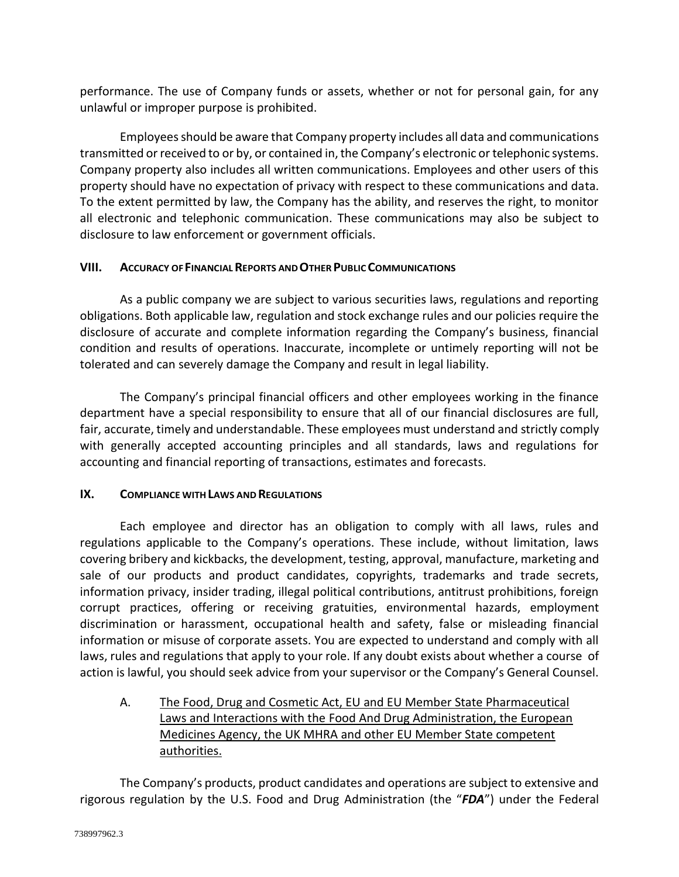performance. The use of Company funds or assets, whether or not for personal gain, for any unlawful or improper purpose is prohibited.

Employees should be aware that Company property includes all data and communications transmitted or received to or by, or contained in, the Company's electronic or telephonic systems. Company property also includes all written communications. Employees and other users of this property should have no expectation of privacy with respect to these communications and data. To the extent permitted by law, the Company has the ability, and reserves the right, to monitor all electronic and telephonic communication. These communications may also be subject to disclosure to law enforcement or government officials.

#### **VIII. ACCURACY OF FINANCIALREPORTS ANDOTHER PUBLIC COMMUNICATIONS**

As a public company we are subject to various securities laws, regulations and reporting obligations. Both applicable law, regulation and stock exchange rules and our policies require the disclosure of accurate and complete information regarding the Company's business, financial condition and results of operations. Inaccurate, incomplete or untimely reporting will not be tolerated and can severely damage the Company and result in legal liability.

The Company's principal financial officers and other employees working in the finance department have a special responsibility to ensure that all of our financial disclosures are full, fair, accurate, timely and understandable. These employees must understand and strictly comply with generally accepted accounting principles and all standards, laws and regulations for accounting and financial reporting of transactions, estimates and forecasts.

## **IX. COMPLIANCE WITHLAWS AND REGULATIONS**

Each employee and director has an obligation to comply with all laws, rules and regulations applicable to the Company's operations. These include, without limitation, laws covering bribery and kickbacks, the development, testing, approval, manufacture, marketing and sale of our products and product candidates, copyrights, trademarks and trade secrets, information privacy, insider trading, illegal political contributions, antitrust prohibitions, foreign corrupt practices, offering or receiving gratuities, environmental hazards, employment discrimination or harassment, occupational health and safety, false or misleading financial information or misuse of corporate assets. You are expected to understand and comply with all laws, rules and regulations that apply to your role. If any doubt exists about whether a course of action is lawful, you should seek advice from your supervisor or the Company's General Counsel.

A. The Food, Drug and Cosmetic Act, EU and EU Member State Pharmaceutical Laws and Interactions with the Food And Drug Administration, the European Medicines Agency, the UK MHRA and other EU Member State competent authorities.

The Company's products, product candidates and operations are subject to extensive and rigorous regulation by the U.S. Food and Drug Administration (the "*FDA*") under the Federal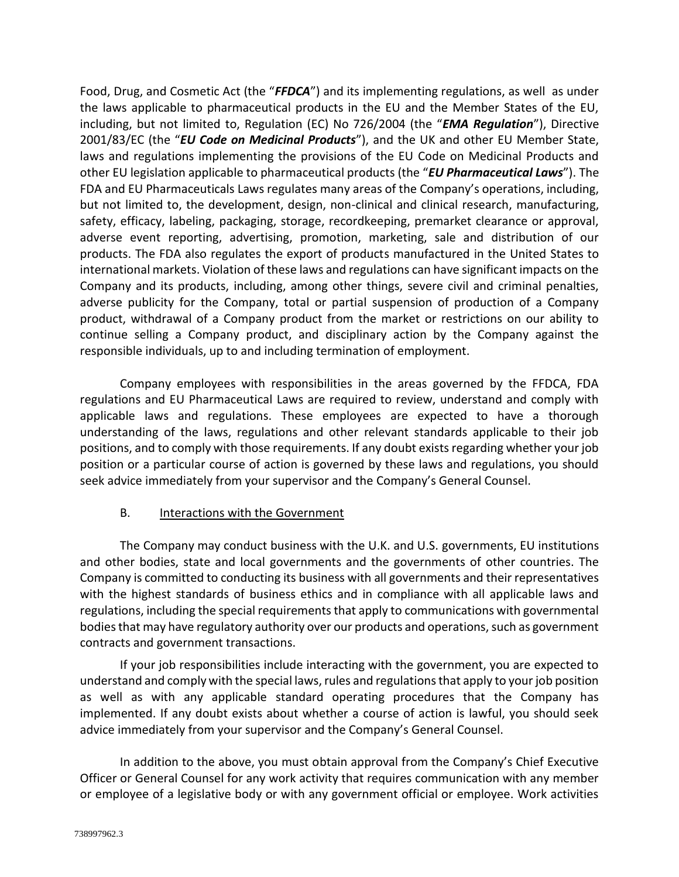Food, Drug, and Cosmetic Act (the "*FFDCA*") and its implementing regulations, as well as under the laws applicable to pharmaceutical products in the EU and the Member States of the EU, including, but not limited to, Regulation (EC) No 726/2004 (the "*EMA Regulation*"), Directive 2001/83/EC (the "*EU Code on Medicinal Products*"), and the UK and other EU Member State, laws and regulations implementing the provisions of the EU Code on Medicinal Products and other EU legislation applicable to pharmaceutical products (the "*EU Pharmaceutical Laws*"). The FDA and EU Pharmaceuticals Laws regulates many areas of the Company's operations, including, but not limited to, the development, design, non-clinical and clinical research, manufacturing, safety, efficacy, labeling, packaging, storage, recordkeeping, premarket clearance or approval, adverse event reporting, advertising, promotion, marketing, sale and distribution of our products. The FDA also regulates the export of products manufactured in the United States to international markets. Violation of these laws and regulations can have significant impacts on the Company and its products, including, among other things, severe civil and criminal penalties, adverse publicity for the Company, total or partial suspension of production of a Company product, withdrawal of a Company product from the market or restrictions on our ability to continue selling a Company product, and disciplinary action by the Company against the responsible individuals, up to and including termination of employment.

Company employees with responsibilities in the areas governed by the FFDCA, FDA regulations and EU Pharmaceutical Laws are required to review, understand and comply with applicable laws and regulations. These employees are expected to have a thorough understanding of the laws, regulations and other relevant standards applicable to their job positions, and to comply with those requirements. If any doubt exists regarding whether your job position or a particular course of action is governed by these laws and regulations, you should seek advice immediately from your supervisor and the Company's General Counsel.

#### B. Interactions with the Government

The Company may conduct business with the U.K. and U.S. governments, EU institutions and other bodies, state and local governments and the governments of other countries. The Company is committed to conducting its business with all governments and their representatives with the highest standards of business ethics and in compliance with all applicable laws and regulations, including the special requirements that apply to communications with governmental bodies that may have regulatory authority over our products and operations, such as government contracts and government transactions.

If your job responsibilities include interacting with the government, you are expected to understand and comply with the special laws, rules and regulations that apply to your job position as well as with any applicable standard operating procedures that the Company has implemented. If any doubt exists about whether a course of action is lawful, you should seek advice immediately from your supervisor and the Company's General Counsel.

In addition to the above, you must obtain approval from the Company's Chief Executive Officer or General Counsel for any work activity that requires communication with any member or employee of a legislative body or with any government official or employee. Work activities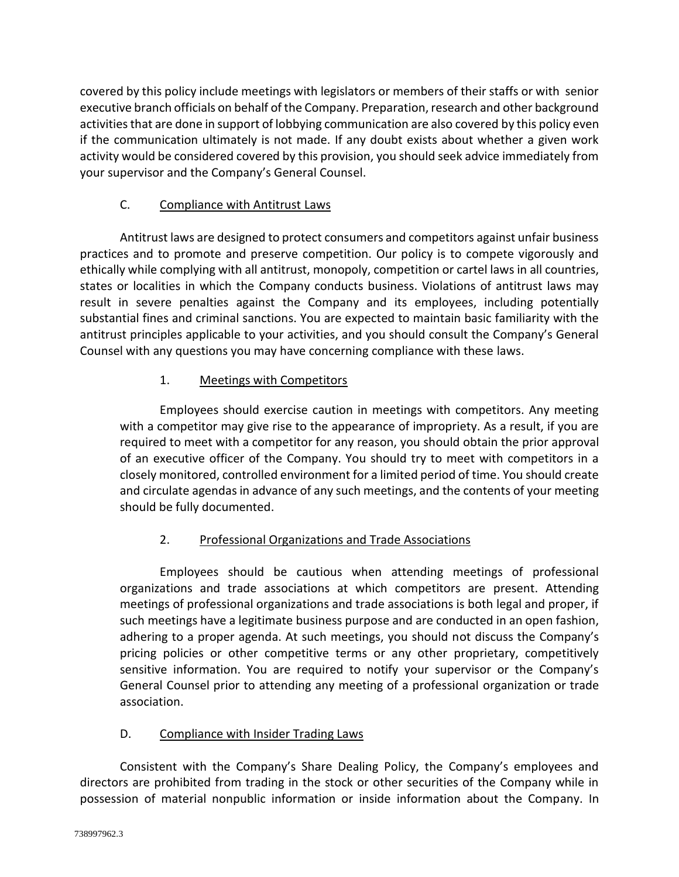covered by this policy include meetings with legislators or members of their staffs or with senior executive branch officials on behalf of the Company. Preparation, research and other background activities that are done in support of lobbying communication are also covered by this policy even if the communication ultimately is not made. If any doubt exists about whether a given work activity would be considered covered by this provision, you should seek advice immediately from your supervisor and the Company's General Counsel.

# C. Compliance with Antitrust Laws

Antitrust laws are designed to protect consumers and competitors against unfair business practices and to promote and preserve competition. Our policy is to compete vigorously and ethically while complying with all antitrust, monopoly, competition or cartel laws in all countries, states or localities in which the Company conducts business. Violations of antitrust laws may result in severe penalties against the Company and its employees, including potentially substantial fines and criminal sanctions. You are expected to maintain basic familiarity with the antitrust principles applicable to your activities, and you should consult the Company's General Counsel with any questions you may have concerning compliance with these laws.

# 1. Meetings with Competitors

Employees should exercise caution in meetings with competitors. Any meeting with a competitor may give rise to the appearance of impropriety. As a result, if you are required to meet with a competitor for any reason, you should obtain the prior approval of an executive officer of the Company. You should try to meet with competitors in a closely monitored, controlled environment for a limited period of time. You should create and circulate agendas in advance of any such meetings, and the contents of your meeting should be fully documented.

# 2. Professional Organizations and Trade Associations

Employees should be cautious when attending meetings of professional organizations and trade associations at which competitors are present. Attending meetings of professional organizations and trade associations is both legal and proper, if such meetings have a legitimate business purpose and are conducted in an open fashion, adhering to a proper agenda. At such meetings, you should not discuss the Company's pricing policies or other competitive terms or any other proprietary, competitively sensitive information. You are required to notify your supervisor or the Company's General Counsel prior to attending any meeting of a professional organization or trade association.

## D. Compliance with Insider Trading Laws

Consistent with the Company's Share Dealing Policy, the Company's employees and directors are prohibited from trading in the stock or other securities of the Company while in possession of material nonpublic information or inside information about the Company. In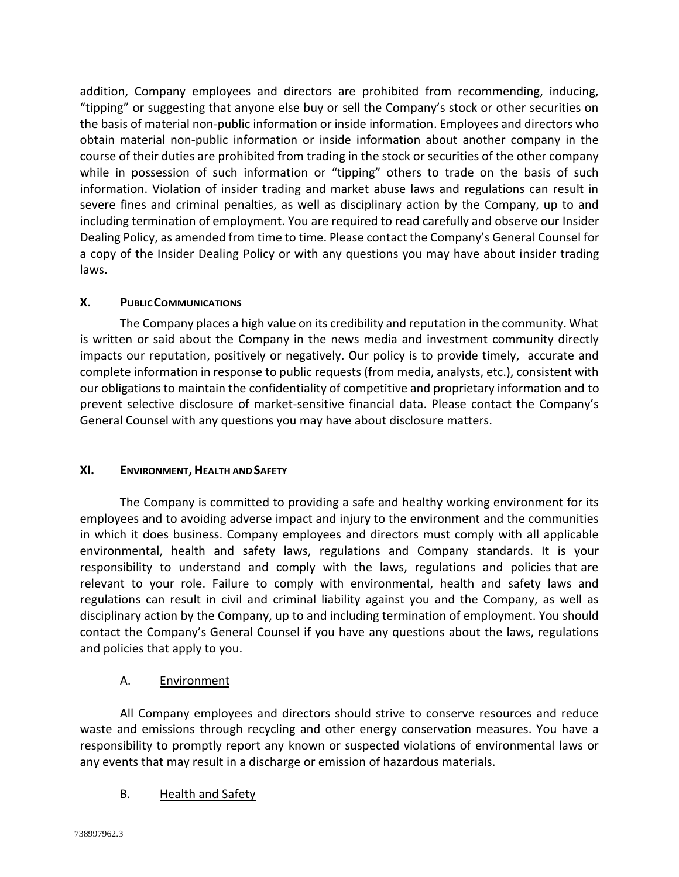addition, Company employees and directors are prohibited from recommending, inducing, "tipping" or suggesting that anyone else buy or sell the Company's stock or other securities on the basis of material non-public information or inside information. Employees and directors who obtain material non-public information or inside information about another company in the course of their duties are prohibited from trading in the stock or securities of the other company while in possession of such information or "tipping" others to trade on the basis of such information. Violation of insider trading and market abuse laws and regulations can result in severe fines and criminal penalties, as well as disciplinary action by the Company, up to and including termination of employment. You are required to read carefully and observe our Insider Dealing Policy, as amended from time to time. Please contact the Company's General Counsel for a copy of the Insider Dealing Policy or with any questions you may have about insider trading laws.

### **X. PUBLICCOMMUNICATIONS**

The Company places a high value on its credibility and reputation in the community. What is written or said about the Company in the news media and investment community directly impacts our reputation, positively or negatively. Our policy is to provide timely, accurate and complete information in response to public requests (from media, analysts, etc.), consistent with our obligations to maintain the confidentiality of competitive and proprietary information and to prevent selective disclosure of market-sensitive financial data. Please contact the Company's General Counsel with any questions you may have about disclosure matters.

#### **XI. ENVIRONMENT,HEALTH ANDSAFETY**

The Company is committed to providing a safe and healthy working environment for its employees and to avoiding adverse impact and injury to the environment and the communities in which it does business. Company employees and directors must comply with all applicable environmental, health and safety laws, regulations and Company standards. It is your responsibility to understand and comply with the laws, regulations and policies that are relevant to your role. Failure to comply with environmental, health and safety laws and regulations can result in civil and criminal liability against you and the Company, as well as disciplinary action by the Company, up to and including termination of employment. You should contact the Company's General Counsel if you have any questions about the laws, regulations and policies that apply to you.

#### A. Environment

All Company employees and directors should strive to conserve resources and reduce waste and emissions through recycling and other energy conservation measures. You have a responsibility to promptly report any known or suspected violations of environmental laws or any events that may result in a discharge or emission of hazardous materials.

#### B. Health and Safety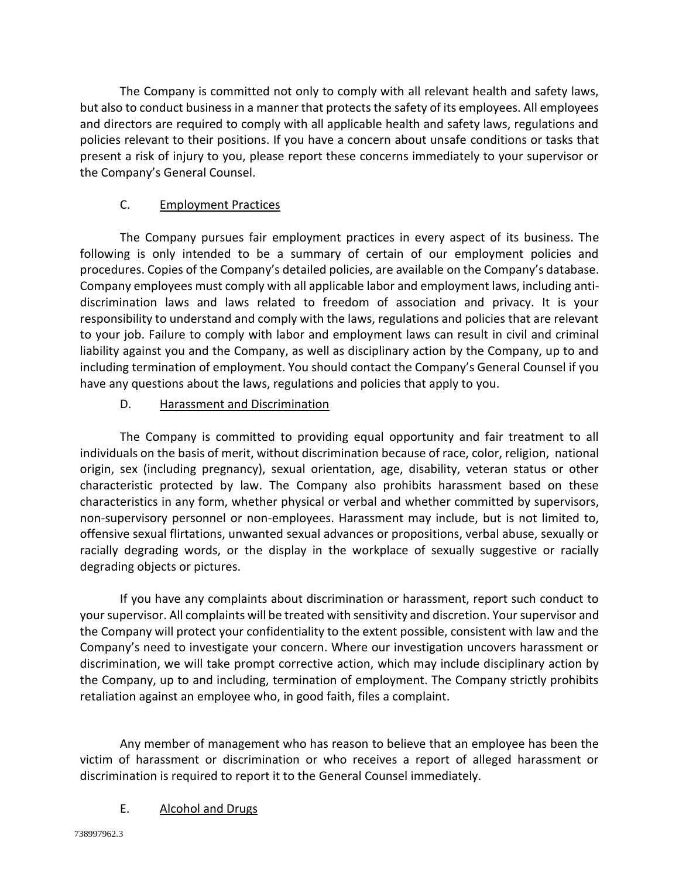The Company is committed not only to comply with all relevant health and safety laws, but also to conduct business in a manner that protects the safety of its employees. All employees and directors are required to comply with all applicable health and safety laws, regulations and policies relevant to their positions. If you have a concern about unsafe conditions or tasks that present a risk of injury to you, please report these concerns immediately to your supervisor or the Company's General Counsel.

# C. Employment Practices

The Company pursues fair employment practices in every aspect of its business. The following is only intended to be a summary of certain of our employment policies and procedures. Copies of the Company's detailed policies, are available on the Company's database. Company employees must comply with all applicable labor and employment laws, including antidiscrimination laws and laws related to freedom of association and privacy. It is your responsibility to understand and comply with the laws, regulations and policies that are relevant to your job. Failure to comply with labor and employment laws can result in civil and criminal liability against you and the Company, as well as disciplinary action by the Company, up to and including termination of employment. You should contact the Company's General Counsel if you have any questions about the laws, regulations and policies that apply to you.

## D. Harassment and Discrimination

The Company is committed to providing equal opportunity and fair treatment to all individuals on the basis of merit, without discrimination because of race, color, religion, national origin, sex (including pregnancy), sexual orientation, age, disability, veteran status or other characteristic protected by law. The Company also prohibits harassment based on these characteristics in any form, whether physical or verbal and whether committed by supervisors, non-supervisory personnel or non-employees. Harassment may include, but is not limited to, offensive sexual flirtations, unwanted sexual advances or propositions, verbal abuse, sexually or racially degrading words, or the display in the workplace of sexually suggestive or racially degrading objects or pictures.

If you have any complaints about discrimination or harassment, report such conduct to your supervisor. All complaints will be treated with sensitivity and discretion. Your supervisor and the Company will protect your confidentiality to the extent possible, consistent with law and the Company's need to investigate your concern. Where our investigation uncovers harassment or discrimination, we will take prompt corrective action, which may include disciplinary action by the Company, up to and including, termination of employment. The Company strictly prohibits retaliation against an employee who, in good faith, files a complaint.

Any member of management who has reason to believe that an employee has been the victim of harassment or discrimination or who receives a report of alleged harassment or discrimination is required to report it to the General Counsel immediately.

## E. Alcohol and Drugs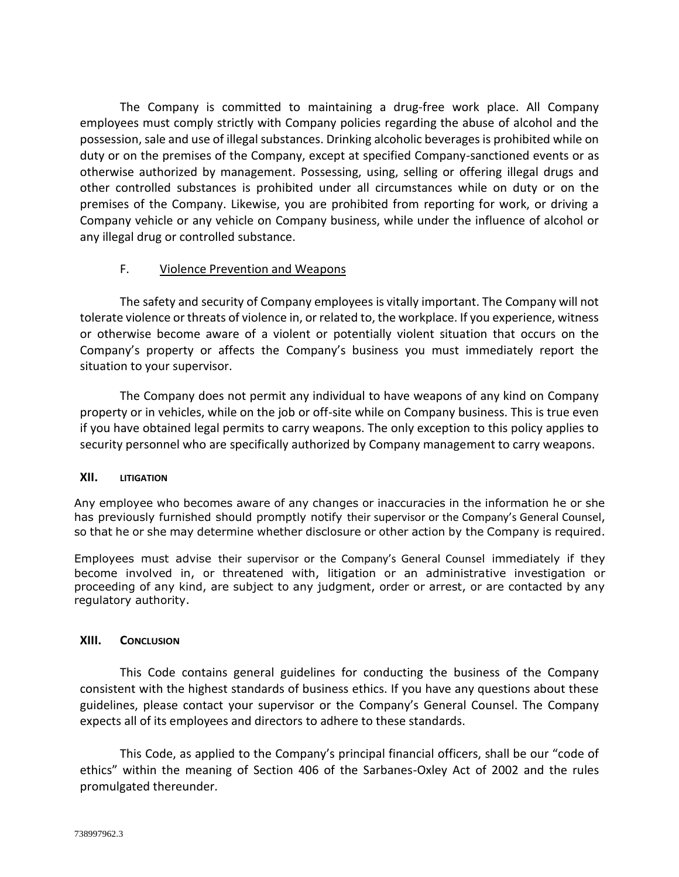The Company is committed to maintaining a drug-free work place. All Company employees must comply strictly with Company policies regarding the abuse of alcohol and the possession, sale and use of illegal substances. Drinking alcoholic beverages is prohibited while on duty or on the premises of the Company, except at specified Company-sanctioned events or as otherwise authorized by management. Possessing, using, selling or offering illegal drugs and other controlled substances is prohibited under all circumstances while on duty or on the premises of the Company. Likewise, you are prohibited from reporting for work, or driving a Company vehicle or any vehicle on Company business, while under the influence of alcohol or any illegal drug or controlled substance.

### F. Violence Prevention and Weapons

The safety and security of Company employees is vitally important. The Company will not tolerate violence or threats of violence in, or related to, the workplace. If you experience, witness or otherwise become aware of a violent or potentially violent situation that occurs on the Company's property or affects the Company's business you must immediately report the situation to your supervisor.

The Company does not permit any individual to have weapons of any kind on Company property or in vehicles, while on the job or off-site while on Company business. This is true even if you have obtained legal permits to carry weapons. The only exception to this policy applies to security personnel who are specifically authorized by Company management to carry weapons.

#### **XII. LITIGATION**

Any employee who becomes aware of any changes or inaccuracies in the information he or she has previously furnished should promptly notify their supervisor or the Company's General Counsel, so that he or she may determine whether disclosure or other action by the Company is required.

Employees must advise their supervisor or the Company's General Counsel immediately if they become involved in, or threatened with, litigation or an administrative investigation or proceeding of any kind, are subject to any judgment, order or arrest, or are contacted by any regulatory authority.

#### **XIII. CONCLUSION**

This Code contains general guidelines for conducting the business of the Company consistent with the highest standards of business ethics. If you have any questions about these guidelines, please contact your supervisor or the Company's General Counsel. The Company expects all of its employees and directors to adhere to these standards.

This Code, as applied to the Company's principal financial officers, shall be our "code of ethics" within the meaning of Section 406 of the Sarbanes-Oxley Act of 2002 and the rules promulgated thereunder.